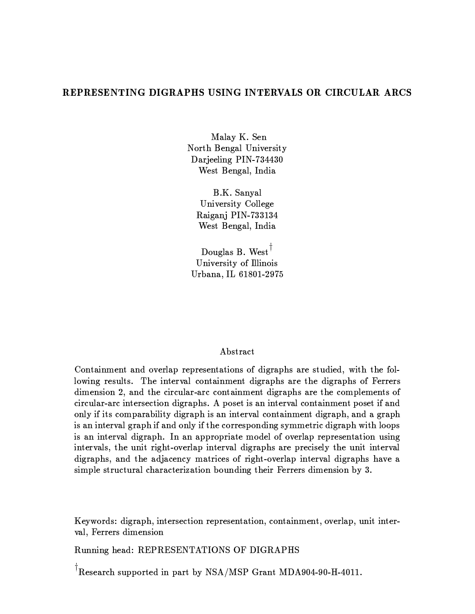# -  -  !#"\$#&%')(
\*(\$+-,-'(-

.0/12/435-687:9; North Bengal University Darjeeling PIN-734430 West Bengal, India

B.K. Sanyal University College Raiganj PIN-733134 West Bengal, India

Douglas B. West<sup> $\dagger$ </sup> University of Illinois Urbana, IL 61801-2975

## Abstract

 $\blacksquare$ 1K=QHK;VE&>A94LCrk1K@AL6BF9HK;k@p9>AJ]/1T=?;k@/HK;V9;j@ejHKE?>M/QFB L-/Q>A9X@CBF9efHKE?>M/QFB L\*=QtV9>A>A9>ML dimension 2, and the circular-arc containment digraphs are the complements of circular-arc intersection digraphs. A poset is an interval containment poset if and . Huthcare and the state of the state of the state of the state of the state of the state of the state of the state of the state of the state of the state of the state of the state of the state of the state of the state o HgL+/Q;\*HK;k@p9>AJ]/1iE?>M/QFB-HUt/Q; e-=?;k1K3-HUt8@CBF9T=?>A>A94LC =?;iefHK;FELC3:9@C>CHg#efHKE?>M/QFB'HK@pB-1K=f=? L is an interval digraph. In an appropriate model of overlap representation using HK;k@C9>AJQ/1gLc@pBV9rF;kHl@>CHKE?Bk@CZv=]J?9>C1g/QHK;k@C9>AJQ/1efHlE?>M/QFB L /Q>A9-F>A94AH2LC9M1l30@CBF9rF;kHK@HK;k@p9>AJ]/1 digraphs, and the adjacency matrices of right-overlap interval digraphs have a  $\ldots$  . The particle of the contract of the contract of the contract of the contract of the contract of the contract of the contract of the contract of the contract of the contract of the contract of the contract of the c

Keywords: digraph, intersection representation, containment, overlap, unit interval, Ferrers dimension

Running head: REPRESENTATIONS OF DIGRAPHS

 $\textsuperscript{|}$  Research supported in part by NSA/MSP Grant MDA904-90-H-4011.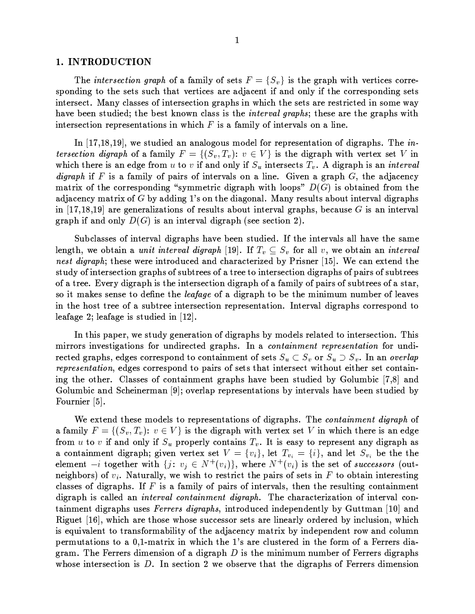### 1. INTRODUCTION

The intersection graph of a family of sets  $F = \{S_v\}$  is the graph with vertices corresponding to the sets such that vertices are adjacent if and only if the corresponding sets intersect. Many classes of intersection graphs in which the sets are restricted in some way have been studied; the best known class is the *interval graphs*; these are the graphs with intersection representations in which  $F$  is a family of intervals on a line.

In  $(17,18,19)$ , we studied an analogous model for representation of digraphs. The *in*tersection digraph of a family  $F = \{(S_v, T_v): v \in V\}$  is the digraph with vertex set V in which there is an edge from u to v if and only if  $S_u$  intersects  $T_v$ . A digraph is an *interval digraph* if F is a family of pairs of intervals on a line. Given a graph  $G$ , the adjacency matrix of the corresponding "symmetric digraph with loops"  $D(G)$  is obtained from the adjacency matrix of  $G$  by adding 1's on the diagonal. Many results about interval digraphs in [17,18,19] are generalizations of results about interval graphs, because G is an interval graph if and only  $D(G)$  is an interval digraph (see section 2).

Subclasses of interval digraphs have been studied. If the intervals all have the same length, we obtain a *unit interval digraph* [19]. If  $T_v \subseteq S_v$  for all v, we obtain an *interval* nest digraph; these were introduced and characterized by Prisner [15]. We can extend the study of intersection graphs of subtrees of a tree to intersection digraphs of pairs of subtrees of a tree. Every digraph is the intersection digraph of a family of pairs of subtrees of a star, so it makes sense to define the *leafage* of a digraph to be the minimum number of leaves in the host tree of a subtree intersection representation. Interval digraphs correspond to leafage 2; leafage is studied in  $|12|$ .

In this paper, we study generation of digraphs by models related to intersection. This mirrors investigations for undirected graphs. In a *containment representation* for undirected graphs, edges correspond to containment of sets  $S_u \subset S_v$  or  $S_u \supset S_v$ . In an overlap *representation*, edges correspond to pairs of sets that intersect without either set containing the other. Classes of containment graphs have been studied by Golumbic [7,8] and Golumbic and Scheinerman [9]; overlap representations by intervals have been studied by Fournier [5].

We extend these models to representations of digraphs. The *containment digraph* of a family  $F = \{(S_v, T_v): v \in V\}$  is the digraph with vertex set V in which there is an edge from u to v if and only if  $S_u$  properly contains  $T_v$ . It is easy to represent any digraph as a containment digraph; given vertex set  $V = \{v_i\}$ , let  $T_{v_i} = \{i\}$ , and let  $S_{v_i}$  be the the element  $-i$  together with  $\{j: v_j \in N^+(v_i)\}$ , where  $N^+(v_i)$  is the set of successors (outneighbors) of  $v_i$ . Naturally, we wish to restrict the pairs of sets in F to obtain interesting classes of digraphs. If  $F$  is a family of pairs of intervals, then the resulting containment digraph is called an *interval containment digraph*. The characterization of interval containment digraphs uses Ferrers digraphs, introduced independently by Guttman [10] and Riguet [16], which are those whose successor sets are linearly ordered by inclusion, which is equivalent to transformability of the adjacency matrix by independent row and column permutations to a 0.1-matrix in which the 1's are clustered in the form of a Ferrers diagram. The Ferrers dimension of a digraph  $D$  is the minimum number of Ferrers digraphs whose intersection is  $D$ . In section 2 we observe that the digraphs of Ferrers dimension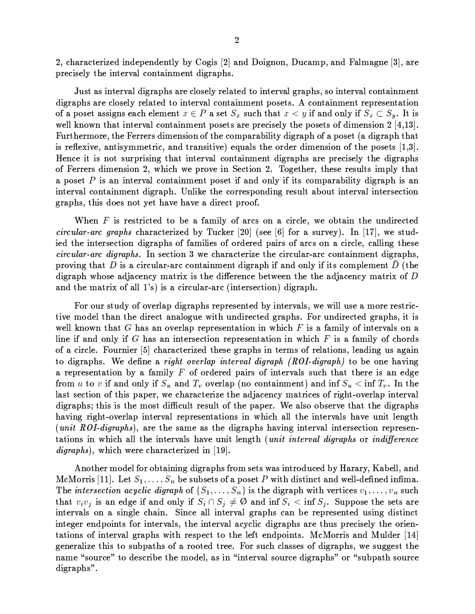2, characterized independently by Cogis [2] and Doignon, Ducamp, and Falmagne [3], are precisely the interval containment digraphs.

Just as interval digraphs are closely related to interval graphs, so interval containment digraphs are closely related to interval containment posets. A containment representation of a poset assigns each element  $x \in P$  a set  $S_x$  such that  $x \lt y$  if and only if  $S_x \subset S_y$ . It is well known that interval containment posets are precisely the posets of dimension  $2 \, [4,13]$ . Furthermore, the Ferrers dimension of the comparability digraph of a poset (a digraph that is reflexive, antisymmetric, and transitive) equals the order dimension of the posets  $[1,3]$ . Hence it is not surprising that interval containment digraphs are precisely the digraphs of Ferrers dimension 2, which we prove in Section 2. Together, these results imply that a poset  $P$  is an interval containment poset if and only if its comparability digraph is an interval containment digraph. Unlike the corresponding result about interval intersection graphs, this does not yet have have a direct proof.

When  $F$  is restricted to be a family of arcs on a circle, we obtain the undirected *circular-arc graphs* characterized by Tucker [20] (see [6] for a survey). In [17], we studied the intersection digraphs of families of ordered pairs of arcs on a circle, calling these *circular-arc digraphs*. In section 3 we characterize the circular-arc containment digraphs, proving that D is a circular-arc containment digraph if and only if its complement D (the digraph whose adjacency matrix is the difference between the the adjacency matrix of D and the matrix of all  $1$ 's) is a circular-arc (intersection) digraph.

For our study of overlap digraphs represented by intervals, we will use a more restrictive model than the direct analogue with undirected graphs. For undirected graphs, it is well known that  $G$  has an overlap representation in which  $F$  is a family of intervals on a line if and only if G has an intersection representation in which  $F$  is a family of chords of a circle. Fournier [5] characterized these graphs in terms of relations, leading us again to digraphs. We define a *right overlap interval digraph (ROI-digraph)* to be one having a representation by a family  $F$  of ordered pairs of intervals such that there is an edge from u to v if and only if  $S_u$  and  $T_v$  overlap (no containment) and inf  $S_u < \inf T_v$ . In the last section of this paper, we characterize the adjacency matrices of right-overlap interval digraphs; this is the most difficult result of the paper. We also observe that the digraphs having right-overlap interval representations in which all the intervals have unit length (*unit ROI-digraphs*), are the same as the digraphs having interval intersection representations in which all the intervals have unit length (unit interval digraphs or indifference  $\langle \mathit{digraphs} \rangle$ , which were characterized in [19].

Another model for obtaining digraphs from sets was introduced by Harary, Kabell, and McMorris [11]. Let  $S_1, \ldots, S_n$  be subsets of a poset P with distinct and well-defined infima. The intersection acyclic digraph of  $\{S_1, \ldots, S_n\}$  is the digraph with vertices  $v_1, \ldots, v_n$  such that  $v_i v_j$  is an edge if and only if  $S_i \cap S_j \neq \emptyset$  and inf  $S_i < \inf S_j$ . Suppose the sets are intervals on a single chain. Since all interval graphs can be represented using distinct integer endpoints for intervals, the interval acyclic digraphs are thus precisely the orientations of interval graphs with respect to the left endpoints. McMorris and Mulder [14] generalize this to subpaths of a rooted tree. For such classes of digraphs, we suggest the name "source" to describe the model, as in "interval source digraphs" or "subpath source digraphs".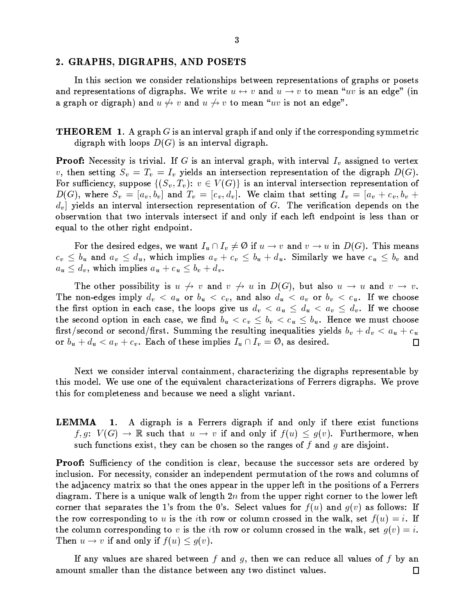#### 2. GRAPHS, DIGRAPHS, AND POSETS

In this section we consider relationships between representations of graphs or posets and representations of digraphs. We write  $u \leftrightarrow v$  and  $u \to v$  to mean "uv is an edge" (in a graph or digraph) and  $u \leftrightarrow v$  and  $u \leftrightarrow v$  to mean "uv is not an edge".

**THEOREM** 1. A graph G is an interval graph if and only if the corresponding symmetric digraph with loops  $D(G)$  is an interval digraph.

**Proof:** Necessity is trivial. If G is an interval graph, with interval  $I_v$  assigned to vertex v, then setting  $S_v = T_v = I_v$  yields an intersection representation of the digraph  $D(G)$ . For sufficiency, suppose  $\{(S_v, T_v): v \in V(G)\}$  is an interval intersection representation of  $D(G)$ , where  $S_v = [a_v, b_v]$  and  $T_v = [c_v, d_v]$ . We claim that setting  $I_v = [a_v + c_v, b_v +$  $d_v$  yields an interval intersection representation of G. The verification depends on the observation that two intervals intersect if and only if each left endpoint is less than or equal to the other right endpoint.

For the desired edges, we want  $I_u \cap I_v \neq \emptyset$  if  $u \to v$  and  $v \to u$  in  $D(G)$ . This means  $c_v \leq b_u$  and  $a_v \leq d_u$ , which implies  $a_v + c_v \leq b_u + d_u$ . Similarly we have  $c_u \leq b_v$  and  $a_u \leq d_v$ , which implies  $a_u + c_u \leq b_v + d_v$ .

The other possibility is  $u \nightharpoonup v$  and  $v \nightharpoonup u$  in  $D(G)$ , but also  $u \rightarrow u$  and  $v \rightarrow v$ . The non-edges imply  $d_v < a_u$  or  $b_u < c_v$ , and also  $d_u < a_v$  or  $b_v < c_u$ . If we choose the first option in each case, the loops give us  $d_v < a_u \leq d_u < a_v \leq d_v$ . If we choose the second option in each case, we find  $b_u < c_v \leq b_v < c_u \leq b_u$ . Hence we must choose first/second or second/first. Summing the resulting inequalities yields  $b_v + d_v < a_u + c_u$ or  $b_u + d_u < a_v + c_v$ . Each of these implies  $I_u \cap I_v = \emptyset$ , as desired.  $\Box$ 

Next we consider interval containment, characterizing the digraphs representable by this model. We use one of the equivalent characterizations of Ferrers digraphs. We prove this for completeness and because we need a slight variant.

1. A digraph is a Ferrers digraph if and only if there exist functions LEMMA  $f,g\colon\thinspace V(G)\to\mathbb{R}$  such that  $u\to v$  if and only if  $f(u)\leq g(v).$  Furthermore, when such functions exist, they can be chosen so the ranges of f and g are disjoint.

**Proof:** Sufficiency of the condition is clear, because the successor sets are ordered by inclusion. For necessity, consider an independent permutation of the rows and columns of the adjacency matrix so that the ones appear in the upper left in the positions of a Ferrers diagram. There is a unique walk of length  $2n$  from the upper right corner to the lower left corner that separates the 1's from the 0's. Select values for  $f(u)$  and  $g(v)$  as follows: If the row corresponding to u is the *i*th row or column crossed in the walk, set  $f(u) = i$ . If the column corresponding to v is the *i*th row or column crossed in the walk, set  $g(v) = i$ . Then  $u \to v$  if and only if  $f(u) \leq g(v)$ .

If any values are shared between  $f$  and  $g$ , then we can reduce all values of  $f$  by an amount smaller than the distance between any two distinct values.  $\Box$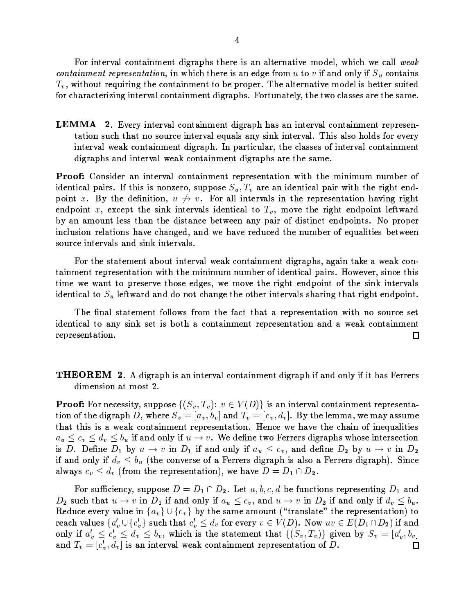For interval containment digraphs there is an alternative model, which we call  $weak$  $\blacksquare$  . The contract of the contract of the contract of the contract of the contract of the contract of the contract of the contract of the contract of the contract of the contract of the contract of the contract of the  $T_v$ , without requiring the containment to be proper. The alternative model is better suited for characterizing interval containment digraphs. Fortunately, the two classes are the same.

**LEMMA** 2. Every interval containment digraph has an interval containment representation such that no source interval equals any sink interval. This also holds for every  $\frac{1}{2}$  meak containment digraph. In particular, the classes of interval containment digraphs and interval weak containment digraphs are the same.

**Proof:** Consider an interval containment representation with the minimum number of identical pairs. If this is nonzero, suppose  $S_n$ ,  $T_n$  are an identical pair with the right endpoint x. By the definition,  $u \not\rightarrow v$ . For all intervals in the representation having right  $\blacksquare$ by an amount less than the distance between any pair of distinct endpoints. No proper HK; 1KriLNHK=?;&>A9T1g/Q@NHK=?; L-B /J?9AB /Q;VE?9bec/Q;ie9Bi/4J?9'>A94ekr T94e@CBF9-;jrVxi9>=Qt9?r /1UHl@OHK94L\*x 9@O99; source intervals and sink intervals.

For the statement about interval weak containment digraphs, again take a weak containment representation with the minimum number of identical pairs. However, since this  $\ldots$ identical to  $S<sub>u</sub>$  leftward and do not change the other intervals sharing that right endpoint.

The final statement follows from the fact that a representation with no source set identical to any sink set is both a containment representation and a weak containment representation.  $\Box$ 

## 6+¦efHKE?>M/QFB\*HgL#/Q;'HK;k@C9>AJQ/1T=?;k@/Hl;F9;k@uefHKE?>M/QVB'HUtu/Q; e\*=?;k1K3-HUt8Hl@B /?LoF9>A>A9>ML dimension at most 2.

 V=?>+;F94T94LALNHK@O3?ckLCrFFi=:LC9| #BC"\$ D9E\$ FA G7HuI}B X,F9&!HgL/Q;-HK;k@C9>AJQ/1T=?;j@A/HK;F9;k@>A9F>A94LC9;j@A/QZ tion of the digraph D, where  $S_v = [a_v, b_v]$  and  $T_v = [c_v, d_v]$ . By the lemma, we may assume . The set of the set of the set of the set of the set of the set of the set of the set of the set of the set of the set of the set of the set of the set of the set of the set of the set of the set of the set of the set of and and the following contract of the contract of the contract of the contract of the contract of the contract of the contract of the contract of the contract of the contract of the contract of the contract of the contract xk33N GHK;5X GHA;5X GHK;5X GHK;5X GHK;5X GHK;5X GHK;5X-01ii;F9KX-02-@ c/Q;ie=21ii;F9KX-02-@ c/Q;ie=21ii if and only if  $d_v \leq b_u$  (the converse of a Ferrers digraph is also a Ferrers digraph). Since always  $c_v \leq d_v$  (from the representation), we have  $D = D_1 \cap D_2$ .

For sufficiency, suppose  $D=D_1\cap D_2$ . Let  $a, b, c, d$  be functions representing  $D_1$  and X'LCriAB@CB /Q@|N1 G-HK;?X!Hwt/Q; e=?;k1K3HUtaQH-\*#:\$]c /Q;ieYN1 G\*HK; XHUt/Q; e=?;I1K3HUt\$\$ - !1Qj6 n!94ekr T99J?9>A3-J]/1KrF9Hl;d \$ & # \$ &xk3@CBF9 LA/Q9/Q=?rF;k@BVT@C>M/Q; LN1g/Q@C9W'@CBF9>A9F>A94LC9;k@A/Q@OHl=?;)Fu@C= >A94/?AB-J]/1KrF94Lm \$ [ # \$ &LCr AB-@pBi/Q@ # \$ -C\$\$ tS=?>+9J?9>A3KG7H?I}B XZF6#<!=] <sup>N</sup> GKH
B <sup>X</sup>! \*X F8HUtu/Q; e =?;k1K3HUt \$ -@# \$ -A\$\$ -?! \$ c8!BkHgB0H2L-@pBF9LC@/Q@C99;k@@CB /Q@K #B"\$ <sup>D</sup> <sup>E</sup>\$ <sup>F</sup> &EQHKJ?9;axk3 "\$@4' \$ <sup>D</sup> ! \$ <sup>6</sup>  $\blacksquare$  . The extra the state of the state of the state of the state of the state of the state of the state of the state of the state of the state of the state of the state of the state of the state of the state of the sta  $\Box$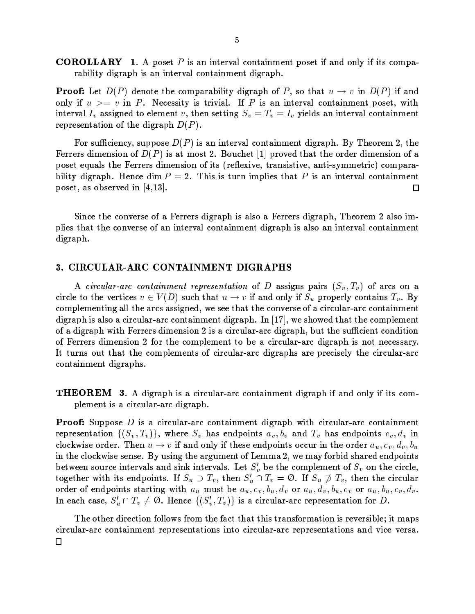**COROLLARY** 1. A poset  $P$  is an interval containment poset if and only if its comparability digraph is an interval containment digraph.

**Proof:** Let  $D(P)$  denote the comparability digraph of P, so that  $u \to v$  in  $D(P)$  if and only if  $u > = v$  in P. Necessity is trivial. If P is an interval containment poset, with interval  $I_v$  assigned to element v, then setting  $S_v = T_v = I_v$  yields an interval containment representation of the digraph  $D(P)$ .

For sufficiency, suppose  $D(P)$  is an interval containment digraph. By Theorem 2, the Ferrers dimension of  $D(P)$  is at most 2. Bouchet [1] proved that the order dimension of a poset equals the Ferrers dimension of its (reflexive, transistive, anti-symmetric) comparability digraph. Hence dim  $P = 2$ . This is turn implies that P is an interval containment poset, as observed in  $[4,13]$ .  $\Box$ 

Since the converse of a Ferrers digraph is also a Ferrers digraph, Theorem 2 also implies that the converse of an interval containment digraph is also an interval containment digraph.

### 3. CIRCULAR-ARC CONTAINMENT DIGRAPHS

A circular-arc containment representation of D assigns pairs  $(S_v, T_v)$  of arcs on a circle to the vertices  $v \in V(D)$  such that  $u \to v$  if and only if  $S_u$  properly contains  $T_v$ . By complementing all the arcs assigned, we see that the converse of a circular-arc containment digraph is also a circular-arc containment digraph. In  $[17]$ , we showed that the complement of a digraph with Ferrers dimension 2 is a circular-arc digraph, but the sufficient condition of Ferrers dimension 2 for the complement to be a circular-arc digraph is not necessary. It turns out that the complements of circular-arc digraphs are precisely the circular-arc containment digraphs.

**THEOREM** 3. A digraph is a circular-arc containment digraph if and only if its complement is a circular-arc digraph.

**Proof:** Suppose  $D$  is a circular-arc containment digraph with circular-arc containment representation  $\{(S_v, T_v)\}\$ , where  $S_v$  has endpoints  $a_v, b_v$  and  $T_v$  has endpoints  $c_v, d_v$  in clockwise order. Then  $u \to v$  if and only if these endpoints occur in the order  $a_u, c_v, d_v, b_u$ in the clockwise sense. By using the argument of Lemma 2, we may forbid shared endpoints between source intervals and sink intervals. Let  $S'_v$  be the complement of  $S_v$  on the circle, together with its endpoints. If  $S_u \supset T_v$ , then  $S_u' \cap T_v = \emptyset$ . If  $S_u \not\supset T_v$ , then the circular order of endpoints starting with  $a_u$  must be  $a_u, c_v, b_u, d_v$  or  $a_u, d_v, b_u, c_v$  or  $a_u, b_u, c_v, d_v$ . In each case,  $S'_u \cap T_v \neq \emptyset$ . Hence  $\{(S'_v, T_v)\}\$ is a circular-arc representation for D.

The other direction follows from the fact that this transformation is reversible; it maps circular-arc containment representations into circular-arc representations and vice versa.  $\Box$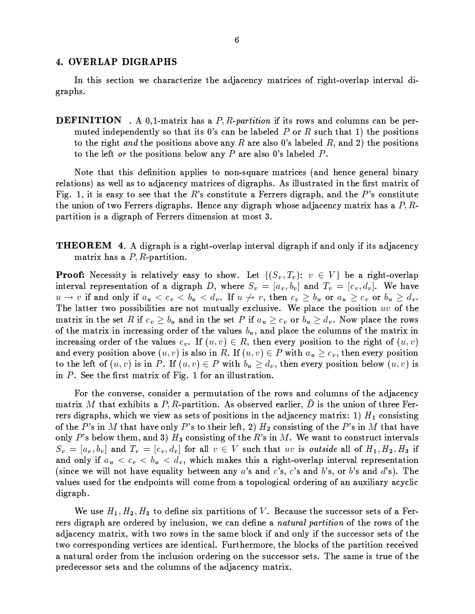### 4. OVERLAP DIGRAPHS

In this section we characterize the adjacency matrices of right-overlap interval digraphs.

**DEFINITION**. A 0,1-matrix has a  $P$ ,  $R$ -partition if its rows and columns can be permuted independently so that its 0's can be labeled  $P$  or  $R$  such that 1) the positions to the right and the positions above any R are also 0's labeled R, and 2) the positions to the left or the positions below any  $P$  are also 0's labeled  $P$ .

Note that this definition applies to non-square matrices (and hence general binary relations) as well as to adjacency matrices of digraphs. As illustrated in the first matrix of Fig. 1, it is easy to see that the R's constitute a Ferrers digraph, and the P's constitute the union of two Ferrers digraphs. Hence any digraph whose adjacency matrix has a  $P, R$ partition is a digraph of Ferrers dimension at most 3.

**THEOREM** 4. A digraph is a right-overlap interval digraph if and only if its adjacency matrix has a  $P, R$ -partition.

**Proof:** Necessity is relatively easy to show. Let  $\{(S_v, T_v): v \in V\}$  be a right-overlap interval representation of a digraph D, where  $S_v = [a_v, b_v]$  and  $T_v = [c_v, d_v]$ . We have  $u \to v$  if and only if  $a_u < c_v < b_u < d_v$ . If  $u \not\to v$ , then  $c_v \geq b_u$  or  $a_u \geq c_v$  or  $b_u \geq d_v$ . The latter two possibilities are not mutually exclusive. We place the position  $uv$  of the matrix in the set R if  $c_v \geq b_u$  and in the set P if  $a_u \geq c_v$  or  $b_u \geq d_v$ . Now place the rows of the matrix in increasing order of the values  $b_u$ , and place the columns of the matrix in increasing order of the values  $c_v$ . If  $(u, v) \in R$ , then every position to the right of  $(u, v)$ and every position above  $(u, v)$  is also in R. If  $(u, v) \in P$  with  $a_u \geq c_v$ , then every position to the left of  $(u, v)$  is in P. If  $(u, v) \in P$  with  $b_u \geq d_v$ , then every position below  $(u, v)$  is in  $P$ . See the first matrix of Fig. 1 for an illustration.

For the converse, consider a permutation of the rows and columns of the adjacency matrix M that exhibits a P, R-partition. As observed earlier, D is the union of three Ferrers digraphs, which we view as sets of positions in the adjacency matrix: 1)  $H_1$  consisting of the P's in M that have only P's to their left, 2)  $H_2$  consisting of the P's in M that have only P's below them, and 3)  $H_3$  consisting of the R's in M. We want to construct intervals  $S_v = [a_v, b_v]$  and  $T_v = [c_v, d_v]$  for all  $v \in V$  such that uv is *outside* all of  $H_1, H_2, H_3$  if and only if  $a_u < c_v < b_u < d_v$ , which makes this a right-overlap interval representation (since we will not have equality between any a's and c's, c's and b's, or b's and d's). The values used for the endpoints will come from a topological ordering of an auxiliary acyclic digraph.

We use  $H_1, H_2, H_3$  to define six partitions of V. Because the successor sets of a Ferrers digraph are ordered by inclusion, we can define a *natural partition* of the rows of the adjacency matrix, with two rows in the same block if and only if the successor sets of the two corresponding vertices are identical. Furthermore, the blocks of the partition received a natural order from the inclusion ordering on the successor sets. The same is true of the predecessor sets and the columns of the adjacency matrix.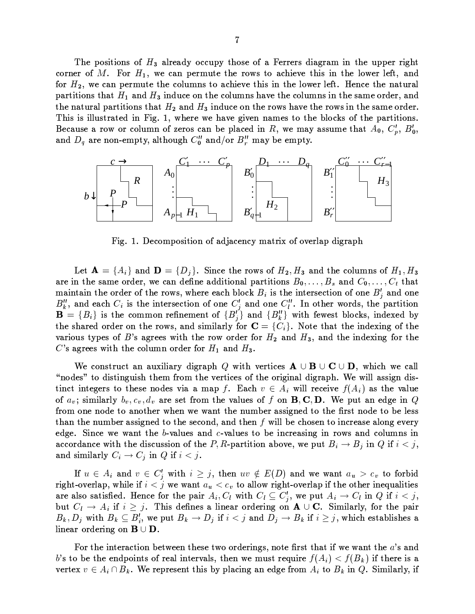The positions of  $H_3$  already occupy those of a Ferrers diagram in the upper right corner of M. For  $H_1$ , we can permute the rows to achieve this in the lower left, and tS=?> c89/Q;0i9>ArV@p9-@pBV9T=Q1KrF;iL@C=/?BkHK9J?9@CBkHgLHK;a@pBV9'1K=Q9>1K9TtS@6-¤9; T9-@pBF9-; /Q@CrF>M/1 partitions that  $H_1$  and  $H_3$  induce on the columns have the columns in the same order, and the natural partitions that  $H_2$  and  $H_3$  induce on the rows have the rows in the same order. This is illustrated in Fig. 1, where we have given names to the blocks of the partitions. Because a row or column of zeros can be placed in R, we may assume that  $A_0, C'_s, B'_0,$ and  $D_{\alpha}$  are non-empty, although  $C_{\alpha}^{\prime\prime}$  and/or  $B^{\prime\prime}$  may be empty.



Fig. 1. Decomposition of adjacency matrix of overlap digraph

 $\bullet$  and a set of the set of the contract of the contract of the contract of the contract of the contract of the contract of the contract of the contract of the contract of the contract of the contract of the contract of  $\blacksquare$  . The contract of the contract of the contract of the contract of the contract of the contract of the contract of the contract of the contract of the contract of the contract of the contract of the contract of the  $\mathcal{M}$  , and  $\mathcal{M}$  as a formulation of the set of the set of the set of the set of the set of the set of the set of the set of the set of the set of the set of the set of the set of the set of the set of the set of t  $B''$  and each C, is the intersection of one  $C'$  and one  $C''$ . In other words, the partition  $\mathbf{R} = \{B_i\}$  is the common refinement of  $\{B_i\}$  and  $\{B_i\}$  with fewest blocks, indexed by @CBF9LCB /Q>A94e=?>Mek9>=?;@pBF9'>A=QLci/Q; eLNHKHw1g/Q>C1K3tS=?>OA R&?6 <!=?@p9-@pB /Q@@pBF9-Hl; ek9L:HK;VEX=Qt@CBF9 various types of B's agrees with the row order for  $H_2$  and  $H_3$ , and the indexing for the C's agrees with the column order for  $H_1$  and  $H_3$ .

`a9T=?; LC@C>Ar T@/Q; /QraL:HU1wHg/Q>A3 efHKE?>M/QFB HK@CB J?9>A@OH2M94L <sup>E</sup> ! c#BkHgB 9X/1U1 "nodes" to distinguish them from the vertices of the original digraph. We will assign distinct integers to these nodes via a map f. Each  $v \in A_i$  will receive  $f(A_i)$  as the value  $\blacksquare$  and the parameter of the parameters and  $\blacksquare$ from one node to another when we want the number assigned to the first node to be less @CB /Q;@CBF9;jrVxV9>+/?LALNHKE?;V9be@p='@CBF9 LC94M=?;ie8c:/Q; e-@CBF9; <sup>F</sup> HU1w1x 9 ABV=:LC9;@C=-HK; T>A94/?LC9 /1K=?;FE'9J?9>A3 edge. Since we want the b-values and c-values to be increasing in rows and columns in  $\blacksquare$  . The following point is a contracted by  $\blacksquare$  . The matrix  $\blacksquare$ /Q; eLNHKHU12/Q>C1K3m- HK;% HUt <sup>6</sup>

If  $u \in A_i$  and  $v \in C'_j$  with  $i \geq j,$  then  $uv \notin E(D)$  and we want  $a_u > c_v$  to forbid right-overlap, while if  $i < j$  we want  $a_u < c_v$  to allow right-overlap if the other inequalities ere also estisfied Hanas fan the nain  $A \cap \mathbb{R}^{n+1}$   $C \subset \mathbb{C}^{n}$  and nut  $A \cup \mathbb{C}^{n}$  in  $\Omega$  if  $\lambda \geq \lambda$ but  $C_l \rightarrow A_i$  if  $i \geq j$ . This defines a linear ordering on  $A \cup C$ . Similarly, for the pair  $D$  Definition  $D$   $D$   $\vdots$   $D$   $\vdots$   $D$   $\vdots$   $C$   $D$   $\vdots$   $C$   $D$   $\vdots$   $C$   $D$   $\vdots$   $C$   $D$   $\vdots$   $C$   $D$   $\vdots$   $C$   $D$   $\vdots$   $C$   $D$   $\vdots$   $C$   $D$   $\vdots$   $C$   $D$   $\vdots$   $C$   $D$   $\vdots$   $C$   $D$   $\vdots$   $C$   $D$   $\vdots$   $C$  linear ordering on  $B \cup D$ .

For the interaction between these two orderings, note first that if we want the  $a$ 's and  $h^i$  to be the endpoints of peal intervals, then we must pessing  $f(A) > f(B)$  if there is a  $\mathcal{A}$  and  $\mathcal{A}$  as  $\mathcal{B}$  and  $\mathbf{W}_{\mathcal{A}}$  represented the last late  $\mathcal{A}$  and  $\mathcal{A}$  are  $\mathcal{A}$  and  $\mathcal{A}$  and  $\mathcal{A}$  are  $\mathcal{A}$  and  $\mathcal{A}$  are  $\mathcal{A}$  and  $\mathcal{B}$  are  $\mathcal{A}$  and  $\mathcal{B}$  are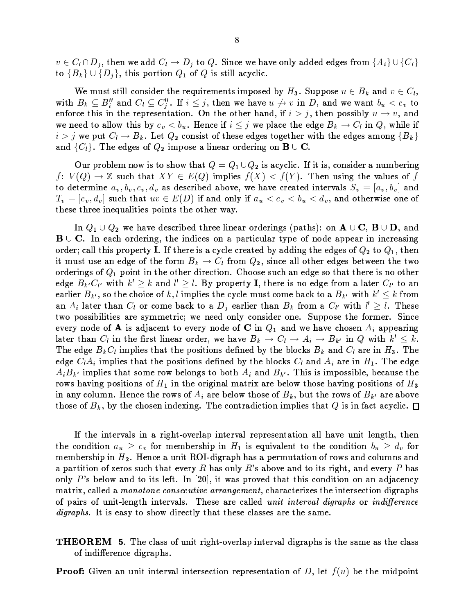$v\in C_l\cap D_j,$  then we add  $C_l\to D_j$  to  $Q.$  Since we have only added edges from  $\{A_i\}\cup\{C_l\}$ to  ${B_k} \cup {D_i}$ , this portion  $Q_1$  of  $Q$  is still acyclic.

We must still consider the requirements imposed by  $H_3$ . Suppose  $u \in B_k$  and  $v \in C_l$ , with  $B_k \subseteq B''_i$  and  $C_l \subseteq C''_i$ . If  $i \leq j$ , then we have  $u \not\rightarrow v$  in D, and we want  $b_u < c_v$  to enforce this in the representation. On the other hand, if  $i > j$ , then possibly  $u \to v$ , and we need to allow this by  $c_v < b_u$ . Hence if  $i \leq j$  we place the edge  $B_k \to C_l$  in Q, while if  $i > j$  we put  $C_l \rightarrow B_k$ . Let  $Q_2$  consist of these edges together with the edges among  $\{B_k\}$ and  $\{C_l\}$ . The edges of  $Q_2$  impose a linear ordering on  $\mathbf{B} \cup \mathbf{C}$ .

Our problem now is to show that  $Q = Q_1 \cup Q_2$  is acyclic. If it is, consider a numbering  $f: V(Q) \to \mathbb{Z}$  such that  $XY \in E(Q)$  implies  $f(X) < f(Y)$ . Then using the values of f to determine  $a_v, b_v, c_v, d_v$  as described above, we have created intervals  $S_v = [a_v, b_v]$  and  $T_v = [c_v, d_v]$  such that  $uv \in E(D)$  if and only if  $a_u < c_v < b_u < d_v,$  and otherwise one of these three inequalities points the other way.

In  $Q_1 \cup Q_2$  we have described three linear orderings (paths): on  $A \cup C$ ,  $B \cup D$ , and  $B \cup C$ . In each ordering, the indices on a particular type of node appear in increasing order; call this property I. If there is a cycle created by adding the edges of  $Q_2$  to  $Q_1$ , then it must use an edge of the form  $B_k \to C_l$  from  $Q_2$ , since all other edges between the two orderings of  $Q_1$  point in the other direction. Choose such an edge so that there is no other edge  $B_{k'}C_{l'}$  with  $k' \geq k$  and  $l' \geq l$ . By property I, there is no edge from a later  $C_{l'}$  to an earlier  $B_{k'}$ , so the choice of k, l implies the cycle must come back to a  $B_{k'}$  with  $k' \leq k$  from an  $A_i$  later than  $C_i$  or come back to a  $D_j$  earlier than  $B_k$  from a  $C_{l'}$  with  $l' \geq l$ . These two possibilities are symmetric; we need only consider one. Suppose the former. Since every node of **A** is adjacent to every node of **C** in  $Q_1$  and we have chosen  $A_i$  appearing later than  $C_l$  in the first linear order, we have  $B_k \to C_l \to A_i \to B_{k'}$  in Q with  $k' \leq k$ . The edge  $B_kC_l$  implies that the positions defined by the blocks  $B_k$  and  $C_l$  are in  $H_3$ . The edge  $C_lA_i$  implies that the positions defined by the blocks  $C_l$  and  $A_i$  are in  $H_1$ . The edge  $A_i B_{k'}$  implies that some row belongs to both  $A_i$  and  $B_{k'}$ . This is impossible, because the rows having positions of  $H_1$  in the original matrix are below those having positions of  $H_3$ in any column. Hence the rows of  $A_i$  are below those of  $B_k$ , but the rows of  $B_{k'}$  are above those of  $B_k$ , by the chosen indexing. The contradiction implies that Q is in fact acyclic.  $\square$ 

If the intervals in a right-overlap interval representation all have unit length, then the condition  $a_u \geq c_v$  for membership in  $H_1$  is equivalent to the condition  $b_u \geq d_v$  for membership in  $H_2$ . Hence a unit ROI-digraph has a permutation of rows and columns and a partition of zeros such that every R has only R's above and to its right, and every P has only P's below and to its left. In [20], it was proved that this condition on an adjacency matrix, called a *monotone consecutive arrangement*, characterizes the intersection digraphs of pairs of unit-length intervals. These are called *unit interval digraphs* or *indifference digraphs*. It is easy to show directly that these classes are the same.

**THEOREM** 5. The class of unit right-overlap interval digraphs is the same as the class of indifference digraphs.

**Proof:** Given an unit interval intersection representation of D, let  $f(u)$  be the midpoint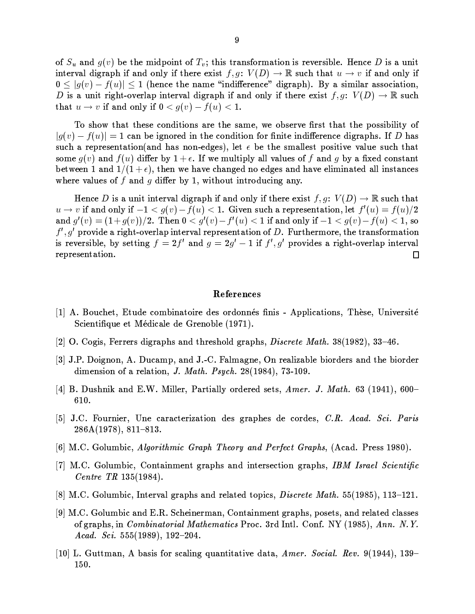of  $S_u$  and  $g(v)$  be the midpoint of  $T_v$ ; this transformation is reversible. Hence D is a unit interval digraph if and only if there exist  $f, g: V(D) \to \mathbb{R}$  such that  $u \to v$  if and only if  $0 \leq |g(v) - f(u)| \leq 1$  (hence the name "indifference" digraph). By a similar association, D is a unit right-overlap interval digraph if and only if there exist  $f, g: V(D) \to \mathbb{R}$  such that  $u \to v$  if and only if  $0 < g(v) - f(u) < 1$ .

To show that these conditions are the same, we observe first that the possibility of  $|g(v)-f(u)|=1$  can be ignored in the condition for finite indifference digraphs. If D has such a representation (and has non-edges), let  $\epsilon$  be the smallest positive value such that some  $g(v)$  and  $f(u)$  differ by  $1 + \epsilon$ . If we multiply all values of f and g by a fixed constant between 1 and  $1/(1+\epsilon)$ , then we have changed no edges and have eliminated all instances where values of  $f$  and  $q$  differ by 1, without introducing any.

Hence D is a unit interval digraph if and only if there exist  $f, g \colon V(D) \to \mathbb{R}$  such that  $u \to v$  if and only if  $-1 < q(v) - f(u) < 1$ . Given such a representation, let  $f'(u) = f(u)/2$ and  $g'(v) = (1+g(v))/2$ . Then  $0 < g'(v) - f'(u) < 1$  if and only if  $-1 < g(v) - f(u) < 1$ , so  $f', g'$  provide a right-overlap interval representation of D. Furthermore, the transformation is reversible, by setting  $f = 2f'$  and  $g = 2g' - 1$  if  $f', g'$  provides a right-overlap interval representation.  $\Box$ 

### References

- [1] A. Bouchet, Etude combinatoire des ordonnés finis Applications, Thèse, Université Scientifique et Médicale de Grenoble (1971).
- [2] O. Cogis, Ferrers digraphs and threshold graphs, *Discrete Math.* 38(1982), 33–46.
- [3] J.P. Doignon, A. Ducamp, and J.-C. Falmagne, On realizable biorders and the biorder dimension of a relation, J. Math. Psych.  $28(1984)$ , 73-109.
- [4] B. Dushnik and E.W. Miller, Partially ordered sets, Amer. J. Math. 63 (1941), 600-610.
- [5] J.C. Fournier, Une caracterization des graphes de cordes, C.R. Acad. Sci. Paris  $286A(1978), 811-813.$
- [6] M.C. Golumbic, Algorithmic Graph Theory and Perfect Graphs, (Acad. Press 1980).
- [7] M.C. Golumbic, Containment graphs and intersection graphs, IBM Israel Scientific *Centre TR*  $135(1984)$ .
- [8] M.C. Golumbic, Interval graphs and related topics, *Discrete Math.* 55(1985), 113–121.
- [9] M.C. Golumbic and E.R. Scheinerman, Containment graphs, posets, and related classes of graphs, in *Combinatorial Mathematics* Proc. 3rd Intl. Conf. NY (1985), Ann. N.Y. Acad. Sci. 555(1989), 192-204.
- [10] L. Guttman, A basis for scaling quantitative data, Amer. Social. Rev. 9(1944), 139– 150.